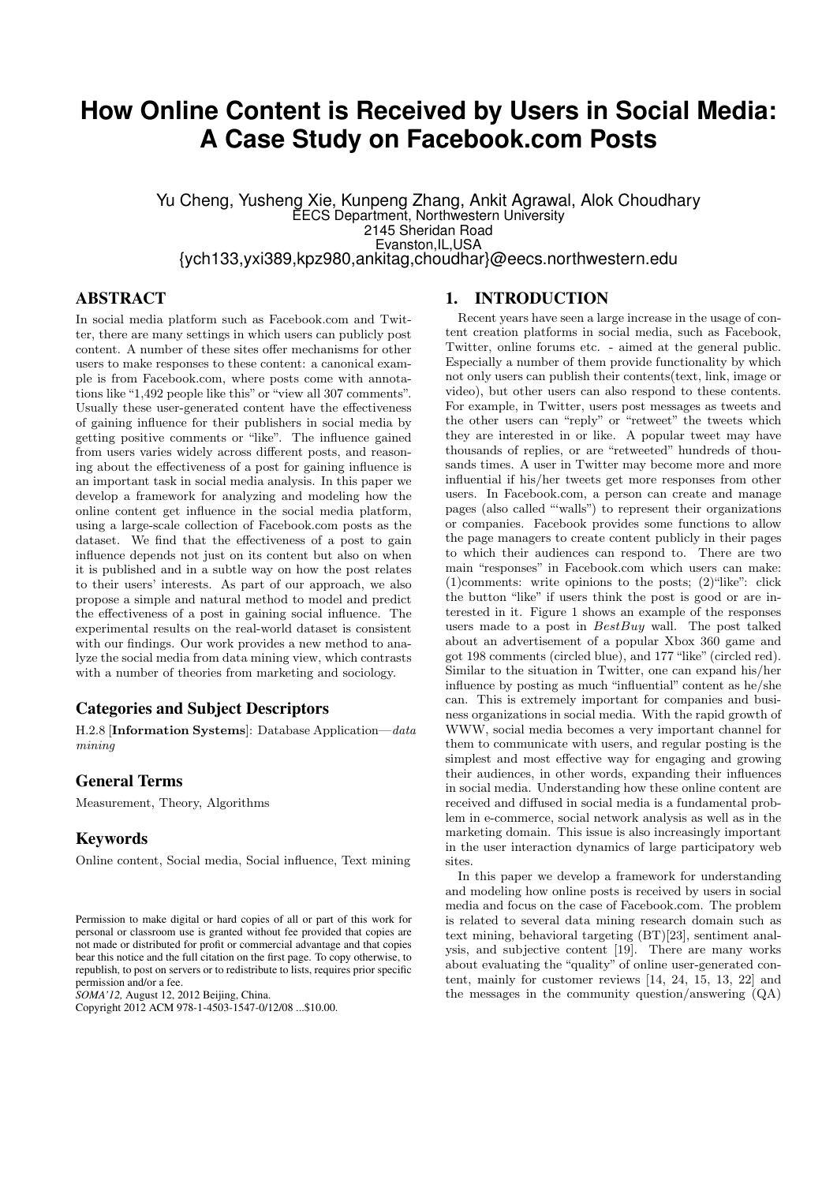# **How Online Content is Received by Users in Social Media: A Case Study on Facebook.com Posts**

Yu Cheng, Yusheng Xie, Kunpeng Zhang, Ankit Agrawal, Alok Choudhary EECS Department, Northwestern University 2145 Sheridan Road Evanston,IL,USA {ych133,yxi389,kpz980,ankitag,choudhar}@eecs.northwestern.edu

# **ABSTRACT**

In social media platform such as Facebook.com and Twitter, there are many settings in which users can publicly post content. A number of these sites offer mechanisms for other users to make responses to these content: a canonical example is from Facebook.com, where posts come with annotations like "1,492 people like this" or "view all 307 comments". Usually these user-generated content have the effectiveness of gaining influence for their publishers in social media by getting positive comments or "like". The influence gained from users varies widely across different posts, and reasoning about the effectiveness of a post for gaining influence is an important task in social media analysis. In this paper we develop a framework for analyzing and modeling how the online content get influence in the social media platform, using a large-scale collection of Facebook.com posts as the dataset. We find that the effectiveness of a post to gain influence depends not just on its content but also on when it is published and in a subtle way on how the post relates to their users' interests. As part of our approach, we also propose a simple and natural method to model and predict the effectiveness of a post in gaining social influence. The experimental results on the real-world dataset is consistent with our findings. Our work provides a new method to analyze the social media from data mining view, which contrasts with a number of theories from marketing and sociology.

### Categories and Subject Descriptors

H.2.8 [Information Systems]: Database Application—data mining

#### General Terms

Measurement, Theory, Algorithms

#### Keywords

Online content, Social media, Social influence, Text mining

*SOMA'12,* August 12, 2012 Beijing, China.

#### 1. INTRODUCTION

Recent years have seen a large increase in the usage of content creation platforms in social media, such as Facebook, Twitter, online forums etc. - aimed at the general public. Especially a number of them provide functionality by which not only users can publish their contents(text, link, image or video), but other users can also respond to these contents. For example, in Twitter, users post messages as tweets and the other users can "reply" or "retweet" the tweets which they are interested in or like. A popular tweet may have thousands of replies, or are "retweeted" hundreds of thousands times. A user in Twitter may become more and more influential if his/her tweets get more responses from other users. In Facebook.com, a person can create and manage pages (also called "'walls") to represent their organizations or companies. Facebook provides some functions to allow the page managers to create content publicly in their pages to which their audiences can respond to. There are two main "responses" in Facebook.com which users can make: (1)comments: write opinions to the posts; (2)"like": click the button "like" if users think the post is good or are interested in it. Figure 1 shows an example of the responses users made to a post in  $BestBuy$  wall. The post talked about an advertisement of a popular Xbox 360 game and got 198 comments (circled blue), and 177 "like" (circled red). Similar to the situation in Twitter, one can expand his/her influence by posting as much "influential" content as he/she can. This is extremely important for companies and business organizations in social media. With the rapid growth of WWW, social media becomes a very important channel for them to communicate with users, and regular posting is the simplest and most effective way for engaging and growing their audiences, in other words, expanding their influences in social media. Understanding how these online content are received and diffused in social media is a fundamental problem in e-commerce, social network analysis as well as in the marketing domain. This issue is also increasingly important in the user interaction dynamics of large participatory web sites.

In this paper we develop a framework for understanding and modeling how online posts is received by users in social media and focus on the case of Facebook.com. The problem is related to several data mining research domain such as text mining, behavioral targeting (BT)[23], sentiment analysis, and subjective content [19]. There are many works about evaluating the "quality" of online user-generated content, mainly for customer reviews [14, 24, 15, 13, 22] and the messages in the community question/answering (QA)

Permission to make digital or hard copies of all or part of this work for personal or classroom use is granted without fee provided that copies are not made or distributed for profit or commercial advantage and that copies bear this notice and the full citation on the first page. To copy otherwise, to republish, to post on servers or to redistribute to lists, requires prior specific permission and/or a fee.

Copyright 2012 ACM 978-1-4503-1547-0/12/08 ...\$10.00.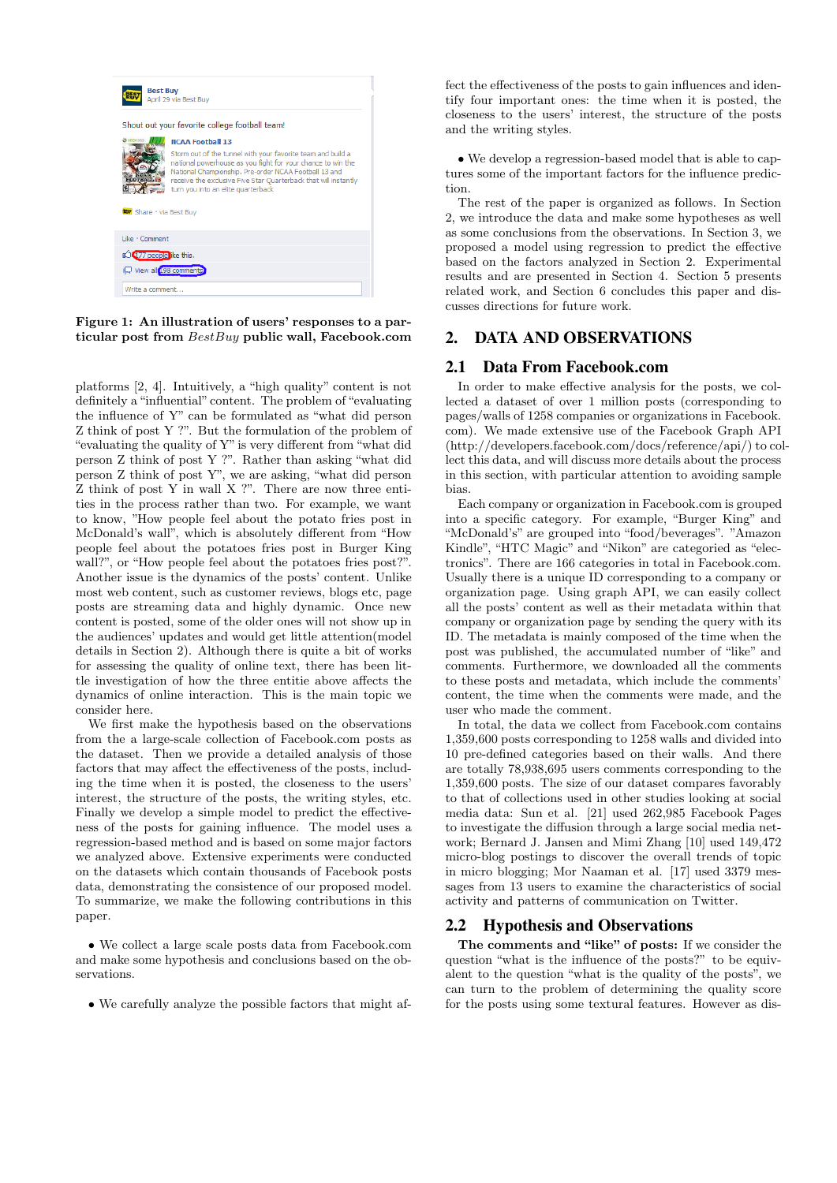

Figure 1: An illustration of users' responses to a particular post from BestBuy public wall, Facebook.com

platforms [2, 4]. Intuitively, a "high quality" content is not definitely a "influential" content. The problem of "evaluating the influence of Y" can be formulated as "what did person Z think of post Y ?". But the formulation of the problem of "evaluating the quality of Y" is very different from "what did person Z think of post Y ?". Rather than asking "what did person Z think of post Y", we are asking, "what did person Z think of post Y in wall X ?". There are now three entities in the process rather than two. For example, we want to know, "How people feel about the potato fries post in McDonald's wall", which is absolutely different from "How people feel about the potatoes fries post in Burger King wall?", or "How people feel about the potatoes fries post?". Another issue is the dynamics of the posts' content. Unlike most web content, such as customer reviews, blogs etc, page posts are streaming data and highly dynamic. Once new content is posted, some of the older ones will not show up in the audiences' updates and would get little attention(model details in Section 2). Although there is quite a bit of works for assessing the quality of online text, there has been little investigation of how the three entitie above affects the dynamics of online interaction. This is the main topic we consider here.

We first make the hypothesis based on the observations from the a large-scale collection of Facebook.com posts as the dataset. Then we provide a detailed analysis of those factors that may affect the effectiveness of the posts, including the time when it is posted, the closeness to the users' interest, the structure of the posts, the writing styles, etc. Finally we develop a simple model to predict the effectiveness of the posts for gaining influence. The model uses a regression-based method and is based on some major factors we analyzed above. Extensive experiments were conducted on the datasets which contain thousands of Facebook posts data, demonstrating the consistence of our proposed model. To summarize, we make the following contributions in this paper.

• We collect a large scale posts data from Facebook.com and make some hypothesis and conclusions based on the observations.

• We carefully analyze the possible factors that might af-

fect the effectiveness of the posts to gain influences and identify four important ones: the time when it is posted, the closeness to the users' interest, the structure of the posts and the writing styles.

• We develop a regression-based model that is able to captures some of the important factors for the influence prediction.

The rest of the paper is organized as follows. In Section 2, we introduce the data and make some hypotheses as well as some conclusions from the observations. In Section 3, we proposed a model using regression to predict the effective based on the factors analyzed in Section 2. Experimental results and are presented in Section 4. Section 5 presents related work, and Section 6 concludes this paper and discusses directions for future work.

# 2. DATA AND OBSERVATIONS

# 2.1 Data From Facebook.com

In order to make effective analysis for the posts, we collected a dataset of over 1 million posts (corresponding to pages/walls of 1258 companies or organizations in Facebook. com). We made extensive use of the Facebook Graph API (http://developers.facebook.com/docs/reference/api/) to collect this data, and will discuss more details about the process in this section, with particular attention to avoiding sample bias.

Each company or organization in Facebook.com is grouped into a specific category. For example, "Burger King" and "McDonald's" are grouped into "food/beverages". "Amazon Kindle", "HTC Magic" and "Nikon" are categoried as "electronics". There are 166 categories in total in Facebook.com. Usually there is a unique ID corresponding to a company or organization page. Using graph API, we can easily collect all the posts' content as well as their metadata within that company or organization page by sending the query with its ID. The metadata is mainly composed of the time when the post was published, the accumulated number of "like" and comments. Furthermore, we downloaded all the comments to these posts and metadata, which include the comments' content, the time when the comments were made, and the user who made the comment.

In total, the data we collect from Facebook.com contains 1,359,600 posts corresponding to 1258 walls and divided into 10 pre-defined categories based on their walls. And there are totally 78,938,695 users comments corresponding to the 1,359,600 posts. The size of our dataset compares favorably to that of collections used in other studies looking at social media data: Sun et al. [21] used 262,985 Facebook Pages to investigate the diffusion through a large social media network; Bernard J. Jansen and Mimi Zhang [10] used 149,472 micro-blog postings to discover the overall trends of topic in micro blogging; Mor Naaman et al. [17] used 3379 messages from 13 users to examine the characteristics of social activity and patterns of communication on Twitter.

# 2.2 Hypothesis and Observations

The comments and "like" of posts: If we consider the question "what is the influence of the posts?" to be equivalent to the question "what is the quality of the posts", we can turn to the problem of determining the quality score for the posts using some textural features. However as dis-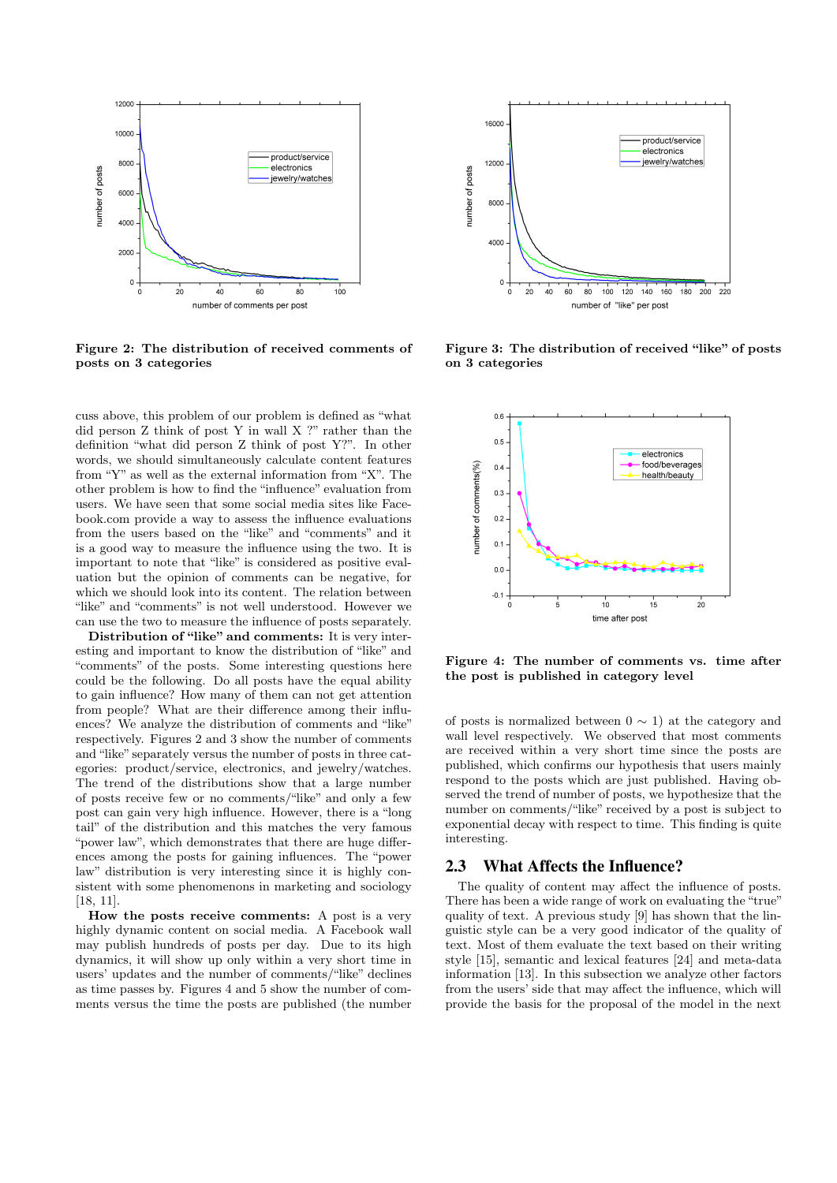

Figure 2: The distribution of received comments of posts on 3 categories

cuss above, this problem of our problem is defined as "what did person Z think of post Y in wall X ?" rather than the definition "what did person Z think of post Y?". In other words, we should simultaneously calculate content features from "Y" as well as the external information from "X". The other problem is how to find the "influence" evaluation from users. We have seen that some social media sites like Facebook.com provide a way to assess the influence evaluations from the users based on the "like" and "comments" and it is a good way to measure the influence using the two. It is important to note that "like" is considered as positive evaluation but the opinion of comments can be negative, for which we should look into its content. The relation between "like" and "comments" is not well understood. However we can use the two to measure the influence of posts separately.

Distribution of "like" and comments: It is very interesting and important to know the distribution of "like" and "comments" of the posts. Some interesting questions here could be the following. Do all posts have the equal ability to gain influence? How many of them can not get attention from people? What are their difference among their influences? We analyze the distribution of comments and "like" respectively. Figures 2 and 3 show the number of comments and "like" separately versus the number of posts in three categories: product/service, electronics, and jewelry/watches. The trend of the distributions show that a large number of posts receive few or no comments/"like" and only a few post can gain very high influence. However, there is a "long tail" of the distribution and this matches the very famous "power law", which demonstrates that there are huge differences among the posts for gaining influences. The "power law" distribution is very interesting since it is highly consistent with some phenomenons in marketing and sociology [18, 11].

How the posts receive comments: A post is a very highly dynamic content on social media. A Facebook wall may publish hundreds of posts per day. Due to its high dynamics, it will show up only within a very short time in users' updates and the number of comments/"like" declines as time passes by. Figures 4 and 5 show the number of comments versus the time the posts are published (the number



Figure 3: The distribution of received "like" of posts on 3 categories



Figure 4: The number of comments vs. time after the post is published in category level

of posts is normalized between  $0 \sim 1$ ) at the category and wall level respectively. We observed that most comments are received within a very short time since the posts are published, which confirms our hypothesis that users mainly respond to the posts which are just published. Having observed the trend of number of posts, we hypothesize that the number on comments/"like" received by a post is subject to exponential decay with respect to time. This finding is quite interesting.

#### 2.3 What Affects the Influence?

The quality of content may affect the influence of posts. There has been a wide range of work on evaluating the "true" quality of text. A previous study [9] has shown that the linguistic style can be a very good indicator of the quality of text. Most of them evaluate the text based on their writing style [15], semantic and lexical features [24] and meta-data information [13]. In this subsection we analyze other factors from the users' side that may affect the influence, which will provide the basis for the proposal of the model in the next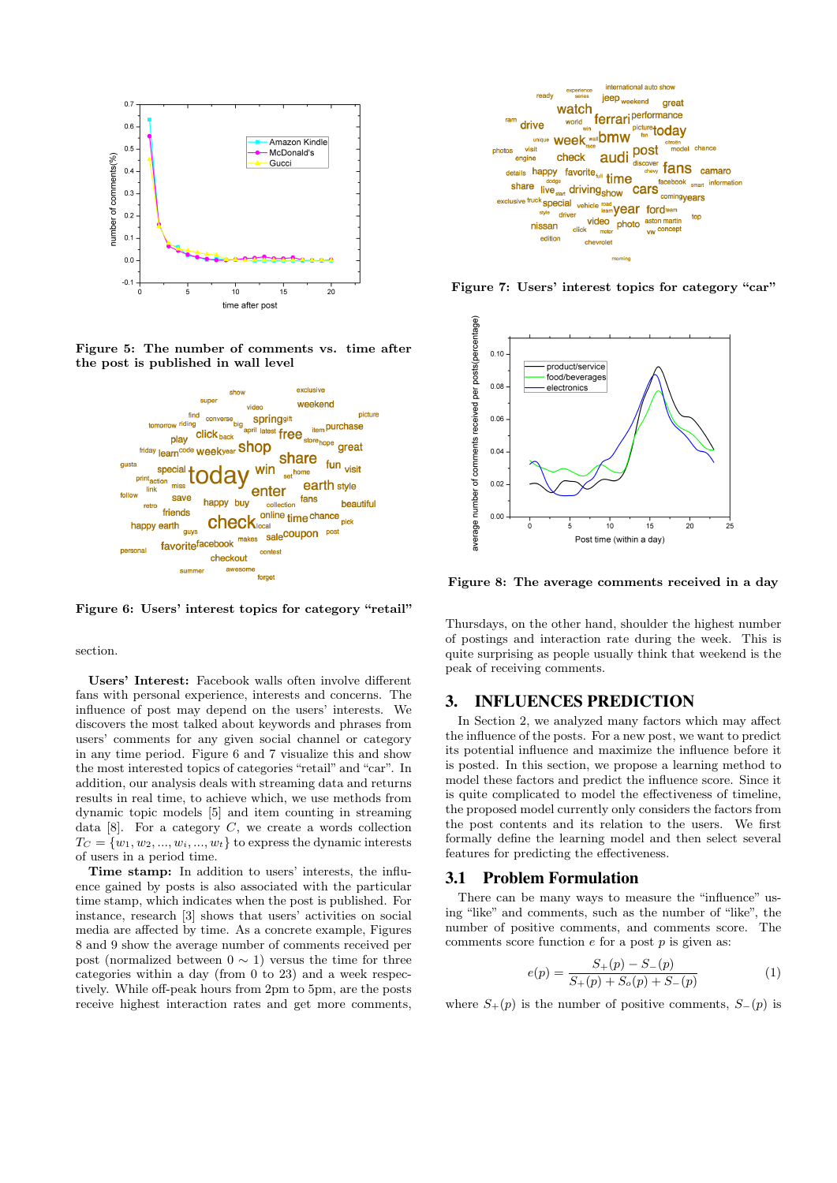

Figure 5: The number of comments vs. time after the post is published in wall level



Figure 6: Users' interest topics for category "retail"

section.

Users' Interest: Facebook walls often involve different fans with personal experience, interests and concerns. The influence of post may depend on the users' interests. We discovers the most talked about keywords and phrases from users' comments for any given social channel or category in any time period. Figure 6 and 7 visualize this and show the most interested topics of categories "retail" and "car". In addition, our analysis deals with streaming data and returns results in real time, to achieve which, we use methods from dynamic topic models [5] and item counting in streaming data  $[8]$ . For a category C, we create a words collection  $T_C = \{w_1, w_2, ..., w_i, ..., w_t\}$  to express the dynamic interests of users in a period time.

Time stamp: In addition to users' interests, the influence gained by posts is also associated with the particular time stamp, which indicates when the post is published. For instance, research [3] shows that users' activities on social media are affected by time. As a concrete example, Figures 8 and 9 show the average number of comments received per post (normalized between  $0 \sim 1$ ) versus the time for three categories within a day (from 0 to 23) and a week respectively. While off-peak hours from 2pm to 5pm, are the posts receive highest interaction rates and get more comments,



Figure 7: Users' interest topics for category "car"



Figure 8: The average comments received in a day

Thursdays, on the other hand, shoulder the highest number of postings and interaction rate during the week. This is quite surprising as people usually think that weekend is the peak of receiving comments.

#### 3. INFLUENCES PREDICTION

In Section 2, we analyzed many factors which may affect the influence of the posts. For a new post, we want to predict its potential influence and maximize the influence before it is posted. In this section, we propose a learning method to model these factors and predict the influence score. Since it is quite complicated to model the effectiveness of timeline, the proposed model currently only considers the factors from the post contents and its relation to the users. We first formally define the learning model and then select several features for predicting the effectiveness.

#### 3.1 Problem Formulation

There can be many ways to measure the "influence" using "like" and comments, such as the number of "like", the number of positive comments, and comments score. The comments score function  $e$  for a post  $p$  is given as:

$$
e(p) = \frac{S_+(p) - S_-(p)}{S_+(p) + S_o(p) + S_-(p)}\tag{1}
$$

where  $S_{+}(p)$  is the number of positive comments,  $S_{-}(p)$  is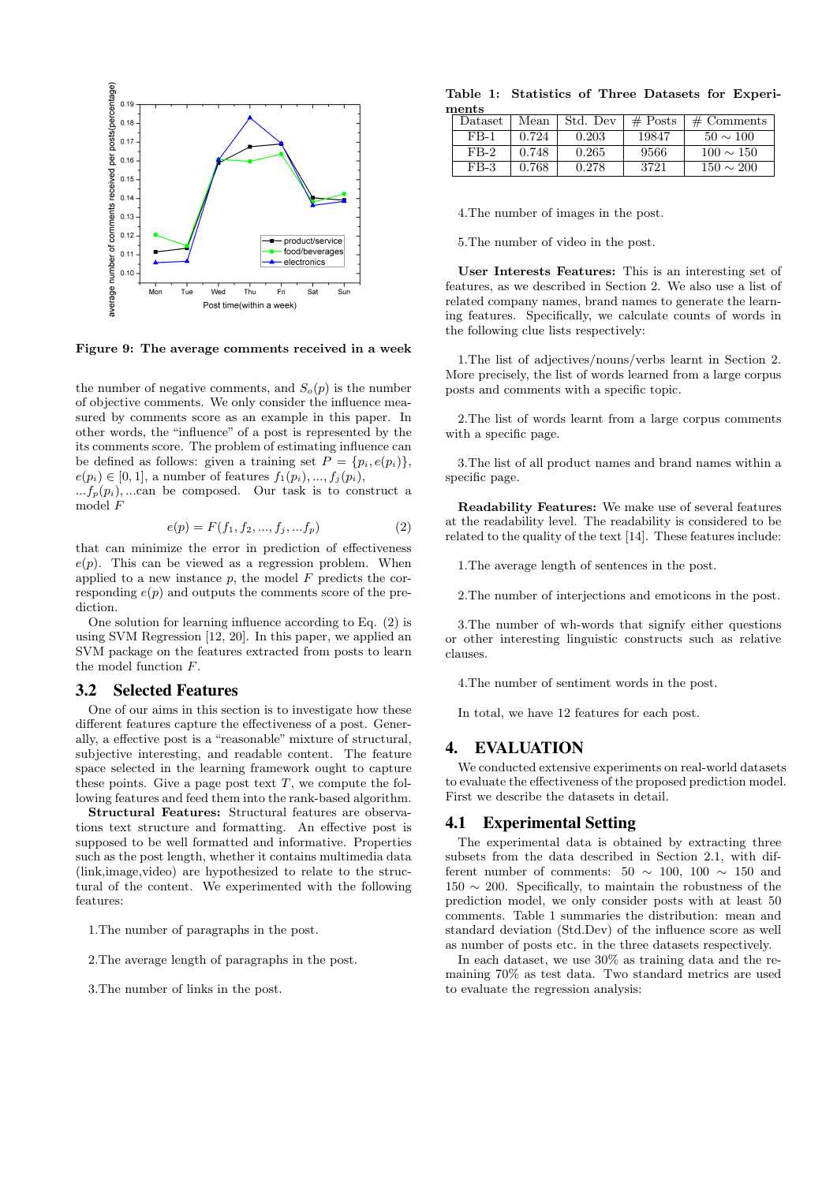

Figure 9: The average comments received in a week

the number of negative comments, and  $S_o(p)$  is the number of objective comments. We only consider the influence measured by comments score as an example in this paper. In other words, the "influence" of a post is represented by the its comments score. The problem of estimating influence can be defined as follows: given a training set  $P = \{p_i, e(p_i)\}\,$  $e(p_i) \in [0, 1]$ , a number of features  $f_1(p_i), ..., f_i(p_i)$ ,

 $...f_p(p_i)$ , ...can be composed. Our task is to construct a model F

$$
e(p) = F(f_1, f_2, ..., f_j, ... f_p)
$$
 (2)

that can minimize the error in prediction of effectiveness  $e(p)$ . This can be viewed as a regression problem. When applied to a new instance  $p$ , the model  $F$  predicts the corresponding  $e(p)$  and outputs the comments score of the prediction.

One solution for learning influence according to Eq. (2) is using SVM Regression [12, 20]. In this paper, we applied an SVM package on the features extracted from posts to learn the model function F.

#### 3.2 Selected Features

One of our aims in this section is to investigate how these different features capture the effectiveness of a post. Generally, a effective post is a "reasonable" mixture of structural, subjective interesting, and readable content. The feature space selected in the learning framework ought to capture these points. Give a page post text  $T$ , we compute the following features and feed them into the rank-based algorithm.

Structural Features: Structural features are observations text structure and formatting. An effective post is supposed to be well formatted and informative. Properties such as the post length, whether it contains multimedia data (link,image,video) are hypothesized to relate to the structural of the content. We experimented with the following features:

1.The number of paragraphs in the post.

2.The average length of paragraphs in the post.

3.The number of links in the post.

Table 1: Statistics of Three Datasets for Experiments

| Dataset | Mean  | Std. Dev | $\#$ Posts | $\#$ Comments  |  |
|---------|-------|----------|------------|----------------|--|
| FB-1    | 0.724 | 0.203    | 19847      | $50 \sim 100$  |  |
| $FB-2$  | 0.748 | 0.265    | 9566       | $100 \sim 150$ |  |
| $FB-3$  | 0.768 | 0.278    | 3721       | $150 \sim 200$ |  |

4.The number of images in the post.

5.The number of video in the post.

User Interests Features: This is an interesting set of features, as we described in Section 2. We also use a list of related company names, brand names to generate the learning features. Specifically, we calculate counts of words in the following clue lists respectively:

1.The list of adjectives/nouns/verbs learnt in Section 2. More precisely, the list of words learned from a large corpus posts and comments with a specific topic.

2.The list of words learnt from a large corpus comments with a specific page.

3.The list of all product names and brand names within a specific page.

Readability Features: We make use of several features at the readability level. The readability is considered to be related to the quality of the text [14]. These features include:

1.The average length of sentences in the post.

2.The number of interjections and emoticons in the post.

3.The number of wh-words that signify either questions or other interesting linguistic constructs such as relative clauses.

4.The number of sentiment words in the post.

In total, we have 12 features for each post.

#### 4. EVALUATION

We conducted extensive experiments on real-world datasets to evaluate the effectiveness of the proposed prediction model. First we describe the datasets in detail.

#### 4.1 Experimental Setting

The experimental data is obtained by extracting three subsets from the data described in Section 2.1, with different number of comments:  $50 \sim 100$ ,  $100 \sim 150$  and  $150 \sim 200$ . Specifically, to maintain the robustness of the prediction model, we only consider posts with at least 50 comments. Table 1 summaries the distribution: mean and standard deviation (Std.Dev) of the influence score as well as number of posts etc. in the three datasets respectively.

In each dataset, we use 30% as training data and the remaining 70% as test data. Two standard metrics are used to evaluate the regression analysis: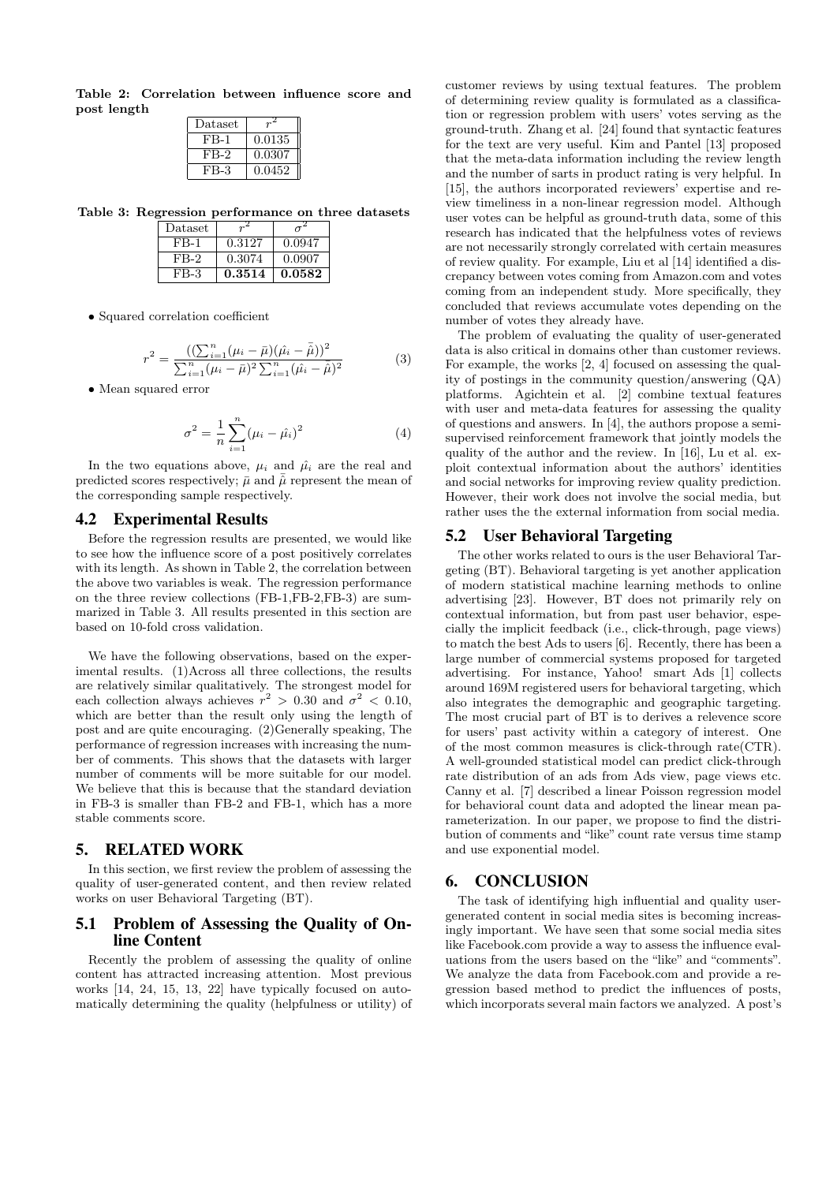Table 2: Correlation between influence score and post length

| Dataset |        |
|---------|--------|
| $FB-1$  | 0.0135 |
| FB-2    | 0.0307 |
| FB-3    | 0.0452 |

Table 3: Regression performance on three datasets

| Dataset |        |        |
|---------|--------|--------|
| $FB-1$  | 0.3127 | 0.0947 |
| FB-2    | 0.3074 | 0.0907 |
| FB-3    | 0.3514 | 0.0582 |

• Squared correlation coefficient

$$
r^{2} = \frac{\left((\sum_{i=1}^{n} (\mu_{i} - \bar{\mu})(\hat{\mu}_{i} - \bar{\hat{\mu}}))^{2}\right)}{\sum_{i=1}^{n} (\mu_{i} - \bar{\mu})^{2} \sum_{i=1}^{n} (\hat{\mu}_{i} - \bar{\hat{\mu}})^{2}}
$$
(3)

• Mean squared error

$$
\sigma^2 = \frac{1}{n} \sum_{i=1}^n (\mu_i - \hat{\mu}_i)^2
$$
 (4)

In the two equations above,  $\mu_i$  and  $\hat{\mu}_i$  are the real and predicted scores respectively;  $\bar{\mu}$  and  $\bar{\hat{\mu}}$  represent the mean of the corresponding sample respectively.

#### 4.2 Experimental Results

Before the regression results are presented, we would like to see how the influence score of a post positively correlates with its length. As shown in Table 2, the correlation between the above two variables is weak. The regression performance on the three review collections (FB-1,FB-2,FB-3) are summarized in Table 3. All results presented in this section are based on 10-fold cross validation.

We have the following observations, based on the experimental results. (1)Across all three collections, the results are relatively similar qualitatively. The strongest model for each collection always achieves  $r^2 > 0.30$  and  $\sigma^2 < 0.10$ , which are better than the result only using the length of post and are quite encouraging. (2)Generally speaking, The performance of regression increases with increasing the number of comments. This shows that the datasets with larger number of comments will be more suitable for our model. We believe that this is because that the standard deviation in FB-3 is smaller than FB-2 and FB-1, which has a more stable comments score.

#### 5. RELATED WORK

In this section, we first review the problem of assessing the quality of user-generated content, and then review related works on user Behavioral Targeting (BT).

### 5.1 Problem of Assessing the Quality of Online Content

Recently the problem of assessing the quality of online content has attracted increasing attention. Most previous works [14, 24, 15, 13, 22] have typically focused on automatically determining the quality (helpfulness or utility) of

customer reviews by using textual features. The problem of determining review quality is formulated as a classification or regression problem with users' votes serving as the ground-truth. Zhang et al. [24] found that syntactic features for the text are very useful. Kim and Pantel [13] proposed that the meta-data information including the review length and the number of sarts in product rating is very helpful. In [15], the authors incorporated reviewers' expertise and review timeliness in a non-linear regression model. Although user votes can be helpful as ground-truth data, some of this research has indicated that the helpfulness votes of reviews are not necessarily strongly correlated with certain measures of review quality. For example, Liu et al [14] identified a discrepancy between votes coming from Amazon.com and votes coming from an independent study. More specifically, they concluded that reviews accumulate votes depending on the number of votes they already have.

The problem of evaluating the quality of user-generated data is also critical in domains other than customer reviews. For example, the works [2, 4] focused on assessing the quality of postings in the community question/answering (QA) platforms. Agichtein et al. [2] combine textual features with user and meta-data features for assessing the quality of questions and answers. In [4], the authors propose a semisupervised reinforcement framework that jointly models the quality of the author and the review. In [16], Lu et al. exploit contextual information about the authors' identities and social networks for improving review quality prediction. However, their work does not involve the social media, but rather uses the the external information from social media.

#### 5.2 User Behavioral Targeting

The other works related to ours is the user Behavioral Targeting (BT). Behavioral targeting is yet another application of modern statistical machine learning methods to online advertising [23]. However, BT does not primarily rely on contextual information, but from past user behavior, especially the implicit feedback (i.e., click-through, page views) to match the best Ads to users [6]. Recently, there has been a large number of commercial systems proposed for targeted advertising. For instance, Yahoo! smart Ads [1] collects around 169M registered users for behavioral targeting, which also integrates the demographic and geographic targeting. The most crucial part of BT is to derives a relevence score for users' past activity within a category of interest. One of the most common measures is click-through rate(CTR). A well-grounded statistical model can predict click-through rate distribution of an ads from Ads view, page views etc. Canny et al. [7] described a linear Poisson regression model for behavioral count data and adopted the linear mean parameterization. In our paper, we propose to find the distribution of comments and "like" count rate versus time stamp and use exponential model.

#### 6. CONCLUSION

The task of identifying high influential and quality usergenerated content in social media sites is becoming increasingly important. We have seen that some social media sites like Facebook.com provide a way to assess the influence evaluations from the users based on the "like" and "comments". We analyze the data from Facebook.com and provide a regression based method to predict the influences of posts, which incorporats several main factors we analyzed. A post's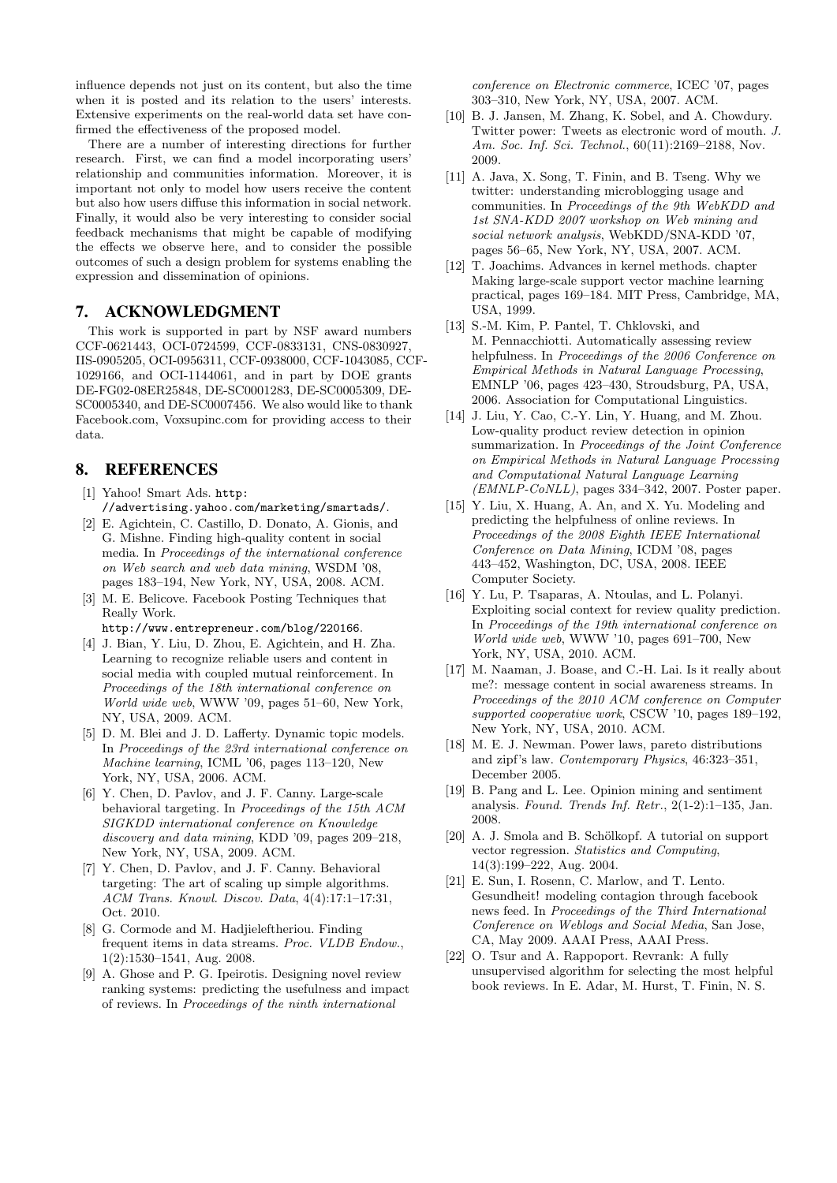influence depends not just on its content, but also the time when it is posted and its relation to the users' interests. Extensive experiments on the real-world data set have confirmed the effectiveness of the proposed model.

There are a number of interesting directions for further research. First, we can find a model incorporating users' relationship and communities information. Moreover, it is important not only to model how users receive the content but also how users diffuse this information in social network. Finally, it would also be very interesting to consider social feedback mechanisms that might be capable of modifying the effects we observe here, and to consider the possible outcomes of such a design problem for systems enabling the expression and dissemination of opinions.

# 7. ACKNOWLEDGMENT

This work is supported in part by NSF award numbers CCF-0621443, OCI-0724599, CCF-0833131, CNS-0830927, IIS-0905205, OCI-0956311, CCF-0938000, CCF-1043085, CCF-1029166, and OCI-1144061, and in part by DOE grants DE-FG02-08ER25848, DE-SC0001283, DE-SC0005309, DE-SC0005340, and DE-SC0007456. We also would like to thank Facebook.com, Voxsupinc.com for providing access to their data.

# 8. REFERENCES

- [1] Yahoo! Smart Ads. http: //advertising.yahoo.com/marketing/smartads/.
- [2] E. Agichtein, C. Castillo, D. Donato, A. Gionis, and G. Mishne. Finding high-quality content in social media. In Proceedings of the international conference on Web search and web data mining, WSDM '08, pages 183–194, New York, NY, USA, 2008. ACM.
- [3] M. E. Belicove. Facebook Posting Techniques that Really Work.

http://www.entrepreneur.com/blog/220166.

- [4] J. Bian, Y. Liu, D. Zhou, E. Agichtein, and H. Zha. Learning to recognize reliable users and content in social media with coupled mutual reinforcement. In Proceedings of the 18th international conference on World wide web, WWW '09, pages 51–60, New York, NY, USA, 2009. ACM.
- [5] D. M. Blei and J. D. Lafferty. Dynamic topic models. In Proceedings of the 23rd international conference on Machine learning, ICML '06, pages 113–120, New York, NY, USA, 2006. ACM.
- [6] Y. Chen, D. Pavlov, and J. F. Canny. Large-scale behavioral targeting. In Proceedings of the 15th ACM SIGKDD international conference on Knowledge discovery and data mining, KDD '09, pages 209–218, New York, NY, USA, 2009. ACM.
- [7] Y. Chen, D. Pavlov, and J. F. Canny. Behavioral targeting: The art of scaling up simple algorithms. ACM Trans. Knowl. Discov. Data, 4(4):17:1–17:31, Oct. 2010.
- [8] G. Cormode and M. Hadjieleftheriou. Finding frequent items in data streams. Proc. VLDB Endow., 1(2):1530–1541, Aug. 2008.
- [9] A. Ghose and P. G. Ipeirotis. Designing novel review ranking systems: predicting the usefulness and impact of reviews. In Proceedings of the ninth international

conference on Electronic commerce, ICEC '07, pages 303–310, New York, NY, USA, 2007. ACM.

- [10] B. J. Jansen, M. Zhang, K. Sobel, and A. Chowdury. Twitter power: Tweets as electronic word of mouth. J. Am. Soc. Inf. Sci. Technol., 60(11):2169–2188, Nov. 2009.
- [11] A. Java, X. Song, T. Finin, and B. Tseng. Why we twitter: understanding microblogging usage and communities. In Proceedings of the 9th WebKDD and 1st SNA-KDD 2007 workshop on Web mining and social network analysis, WebKDD/SNA-KDD '07, pages 56–65, New York, NY, USA, 2007. ACM.
- [12] T. Joachims. Advances in kernel methods. chapter Making large-scale support vector machine learning practical, pages 169–184. MIT Press, Cambridge, MA, USA, 1999.
- [13] S.-M. Kim, P. Pantel, T. Chklovski, and M. Pennacchiotti. Automatically assessing review helpfulness. In Proceedings of the 2006 Conference on Empirical Methods in Natural Language Processing, EMNLP '06, pages 423–430, Stroudsburg, PA, USA, 2006. Association for Computational Linguistics.
- [14] J. Liu, Y. Cao, C.-Y. Lin, Y. Huang, and M. Zhou. Low-quality product review detection in opinion summarization. In Proceedings of the Joint Conference on Empirical Methods in Natural Language Processing and Computational Natural Language Learning  $(EMNLP-CoNLL)$ , pages 334–342, 2007. Poster paper.
- [15] Y. Liu, X. Huang, A. An, and X. Yu. Modeling and predicting the helpfulness of online reviews. In Proceedings of the 2008 Eighth IEEE International Conference on Data Mining, ICDM '08, pages 443–452, Washington, DC, USA, 2008. IEEE Computer Society.
- [16] Y. Lu, P. Tsaparas, A. Ntoulas, and L. Polanyi. Exploiting social context for review quality prediction. In Proceedings of the 19th international conference on World wide web, WWW '10, pages 691–700, New York, NY, USA, 2010. ACM.
- [17] M. Naaman, J. Boase, and C.-H. Lai. Is it really about me?: message content in social awareness streams. In Proceedings of the 2010 ACM conference on Computer supported cooperative work, CSCW '10, pages 189–192, New York, NY, USA, 2010. ACM.
- [18] M. E. J. Newman. Power laws, pareto distributions and zipf's law. Contemporary Physics, 46:323–351, December 2005.
- [19] B. Pang and L. Lee. Opinion mining and sentiment analysis. Found. Trends Inf. Retr., 2(1-2):1–135, Jan. 2008.
- [20] A. J. Smola and B. Schölkopf. A tutorial on support vector regression. Statistics and Computing, 14(3):199–222, Aug. 2004.
- [21] E. Sun, I. Rosenn, C. Marlow, and T. Lento. Gesundheit! modeling contagion through facebook news feed. In Proceedings of the Third International Conference on Weblogs and Social Media, San Jose, CA, May 2009. AAAI Press, AAAI Press.
- [22] O. Tsur and A. Rappoport. Revrank: A fully unsupervised algorithm for selecting the most helpful book reviews. In E. Adar, M. Hurst, T. Finin, N. S.